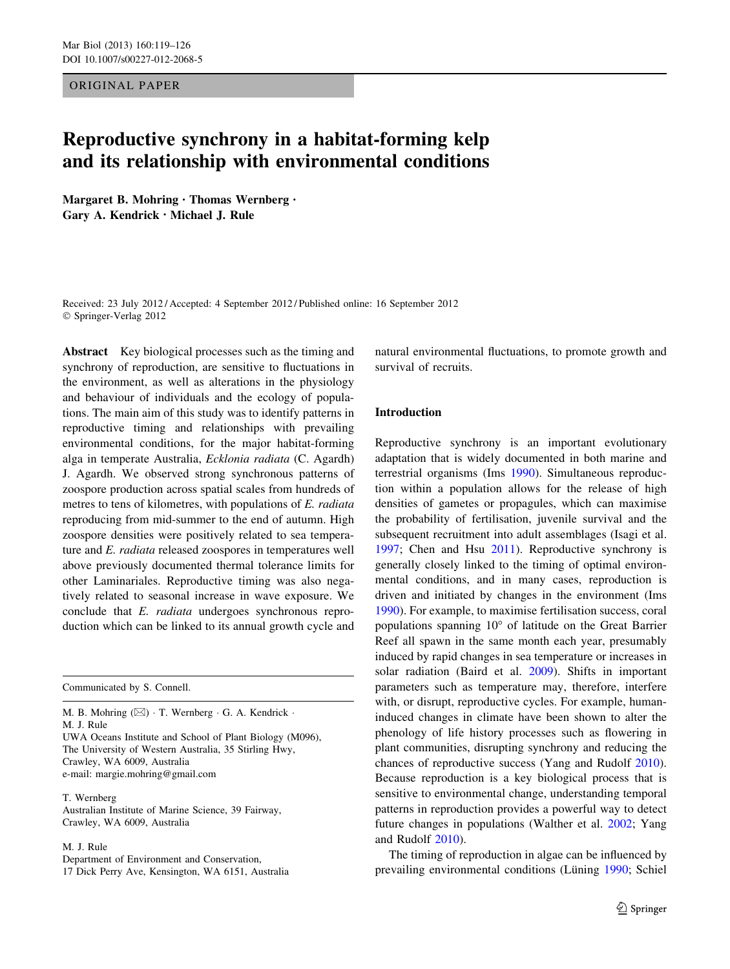## ORIGINAL PAPER

# Reproductive synchrony in a habitat-forming kelp and its relationship with environmental conditions

Margaret B. Mohring · Thomas Wernberg · Gary A. Kendrick • Michael J. Rule

Received: 23 July 2012 / Accepted: 4 September 2012 / Published online: 16 September 2012 © Springer-Verlag 2012

Abstract Key biological processes such as the timing and synchrony of reproduction, are sensitive to fluctuations in the environment, as well as alterations in the physiology and behaviour of individuals and the ecology of populations. The main aim of this study was to identify patterns in reproductive timing and relationships with prevailing environmental conditions, for the major habitat-forming alga in temperate Australia, Ecklonia radiata (C. Agardh) J. Agardh. We observed strong synchronous patterns of zoospore production across spatial scales from hundreds of metres to tens of kilometres, with populations of E. radiata reproducing from mid-summer to the end of autumn. High zoospore densities were positively related to sea temperature and E. radiata released zoospores in temperatures well above previously documented thermal tolerance limits for other Laminariales. Reproductive timing was also negatively related to seasonal increase in wave exposure. We conclude that E. radiata undergoes synchronous reproduction which can be linked to its annual growth cycle and

Communicated by S. Connell.

M. B. Mohring  $(\boxtimes) \cdot$  T. Wernberg  $\cdot$  G. A. Kendrick  $\cdot$ M. J. Rule

UWA Oceans Institute and School of Plant Biology (M096), The University of Western Australia, 35 Stirling Hwy, Crawley, WA 6009, Australia e-mail: margie.mohring@gmail.com

T. Wernberg Australian Institute of Marine Science, 39 Fairway, Crawley, WA 6009, Australia

M. J. Rule

Department of Environment and Conservation, 17 Dick Perry Ave, Kensington, WA 6151, Australia

natural environmental fluctuations, to promote growth and survival of recruits.

## Introduction

Reproductive synchrony is an important evolutionary adaptation that is widely documented in both marine and terrestrial organisms (Ims [1990\)](#page-7-0). Simultaneous reproduction within a population allows for the release of high densities of gametes or propagules, which can maximise the probability of fertilisation, juvenile survival and the subsequent recruitment into adult assemblages (Isagi et al. [1997](#page-7-0); Chen and Hsu [2011\)](#page-6-0). Reproductive synchrony is generally closely linked to the timing of optimal environmental conditions, and in many cases, reproduction is driven and initiated by changes in the environment (Ims [1990](#page-7-0)). For example, to maximise fertilisation success, coral populations spanning  $10^{\circ}$  of latitude on the Great Barrier Reef all spawn in the same month each year, presumably induced by rapid changes in sea temperature or increases in solar radiation (Baird et al. [2009\)](#page-6-0). Shifts in important parameters such as temperature may, therefore, interfere with, or disrupt, reproductive cycles. For example, humaninduced changes in climate have been shown to alter the phenology of life history processes such as flowering in plant communities, disrupting synchrony and reducing the chances of reproductive success (Yang and Rudolf [2010](#page-7-0)). Because reproduction is a key biological process that is sensitive to environmental change, understanding temporal patterns in reproduction provides a powerful way to detect future changes in populations (Walther et al. [2002](#page-7-0); Yang and Rudolf [2010\)](#page-7-0).

The timing of reproduction in algae can be influenced by prevailing environmental conditions (Lüning [1990;](#page-7-0) Schiel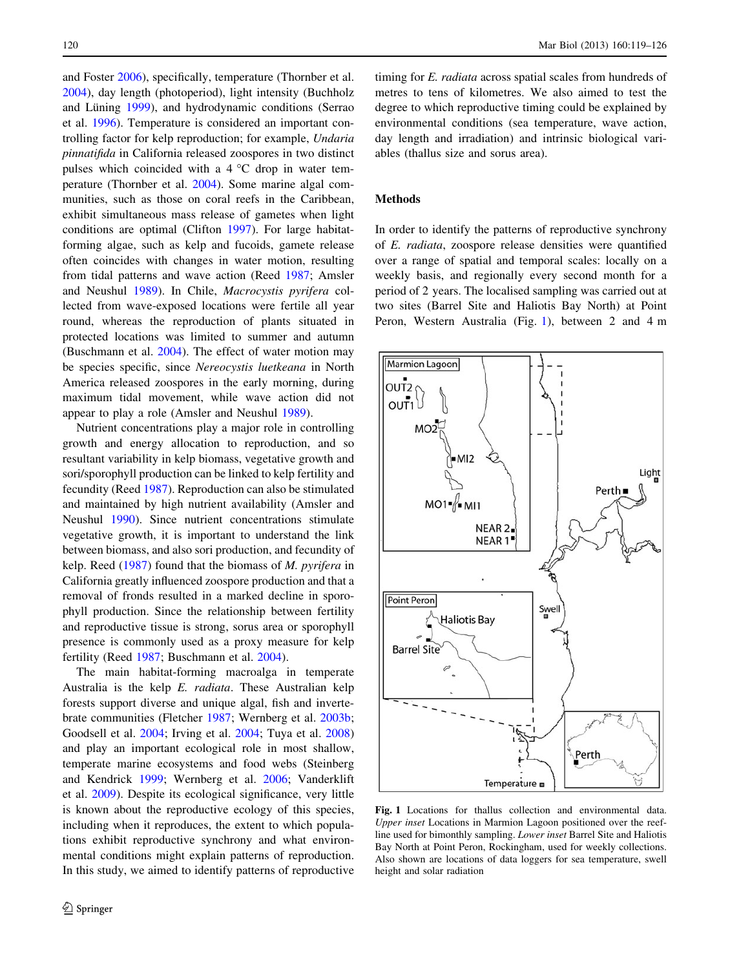<span id="page-1-0"></span>and Foster [2006\)](#page-7-0), specifically, temperature (Thornber et al. [2004\)](#page-7-0), day length (photoperiod), light intensity (Buchholz and Lüning [1999\)](#page-6-0), and hydrodynamic conditions (Serrao et al. [1996\)](#page-7-0). Temperature is considered an important controlling factor for kelp reproduction; for example, Undaria pinnatifida in California released zoospores in two distinct pulses which coincided with a  $4^{\circ}$ C drop in water temperature (Thornber et al. [2004\)](#page-7-0). Some marine algal communities, such as those on coral reefs in the Caribbean, exhibit simultaneous mass release of gametes when light conditions are optimal (Clifton [1997](#page-6-0)). For large habitatforming algae, such as kelp and fucoids, gamete release often coincides with changes in water motion, resulting from tidal patterns and wave action (Reed [1987;](#page-7-0) Amsler and Neushul [1989\)](#page-6-0). In Chile, Macrocystis pyrifera collected from wave-exposed locations were fertile all year round, whereas the reproduction of plants situated in protected locations was limited to summer and autumn (Buschmann et al. [2004\)](#page-6-0). The effect of water motion may be species specific, since Nereocystis luetkeana in North America released zoospores in the early morning, during maximum tidal movement, while wave action did not appear to play a role (Amsler and Neushul [1989\)](#page-6-0).

Nutrient concentrations play a major role in controlling growth and energy allocation to reproduction, and so resultant variability in kelp biomass, vegetative growth and sori/sporophyll production can be linked to kelp fertility and fecundity (Reed [1987\)](#page-7-0). Reproduction can also be stimulated and maintained by high nutrient availability (Amsler and Neushul [1990](#page-6-0)). Since nutrient concentrations stimulate vegetative growth, it is important to understand the link between biomass, and also sori production, and fecundity of kelp. Reed [\(1987](#page-7-0)) found that the biomass of M. pyrifera in California greatly influenced zoospore production and that a removal of fronds resulted in a marked decline in sporophyll production. Since the relationship between fertility and reproductive tissue is strong, sorus area or sporophyll presence is commonly used as a proxy measure for kelp fertility (Reed [1987](#page-7-0); Buschmann et al. [2004](#page-6-0)).

The main habitat-forming macroalga in temperate Australia is the kelp E. radiata. These Australian kelp forests support diverse and unique algal, fish and invertebrate communities (Fletcher [1987;](#page-6-0) Wernberg et al. [2003b](#page-7-0); Goodsell et al. [2004](#page-6-0); Irving et al. [2004;](#page-7-0) Tuya et al. [2008\)](#page-7-0) and play an important ecological role in most shallow, temperate marine ecosystems and food webs (Steinberg and Kendrick [1999](#page-7-0); Wernberg et al. [2006;](#page-7-0) Vanderklift et al. [2009\)](#page-7-0). Despite its ecological significance, very little is known about the reproductive ecology of this species, including when it reproduces, the extent to which populations exhibit reproductive synchrony and what environmental conditions might explain patterns of reproduction. In this study, we aimed to identify patterns of reproductive

timing for E. *radiata* across spatial scales from hundreds of metres to tens of kilometres. We also aimed to test the degree to which reproductive timing could be explained by environmental conditions (sea temperature, wave action, day length and irradiation) and intrinsic biological variables (thallus size and sorus area).

## Methods

In order to identify the patterns of reproductive synchrony of E. radiata, zoospore release densities were quantified over a range of spatial and temporal scales: locally on a weekly basis, and regionally every second month for a period of 2 years. The localised sampling was carried out at two sites (Barrel Site and Haliotis Bay North) at Point Peron, Western Australia (Fig. 1), between 2 and 4 m



Fig. 1 Locations for thallus collection and environmental data. Upper inset Locations in Marmion Lagoon positioned over the reefline used for bimonthly sampling. Lower inset Barrel Site and Haliotis Bay North at Point Peron, Rockingham, used for weekly collections. Also shown are locations of data loggers for sea temperature, swell height and solar radiation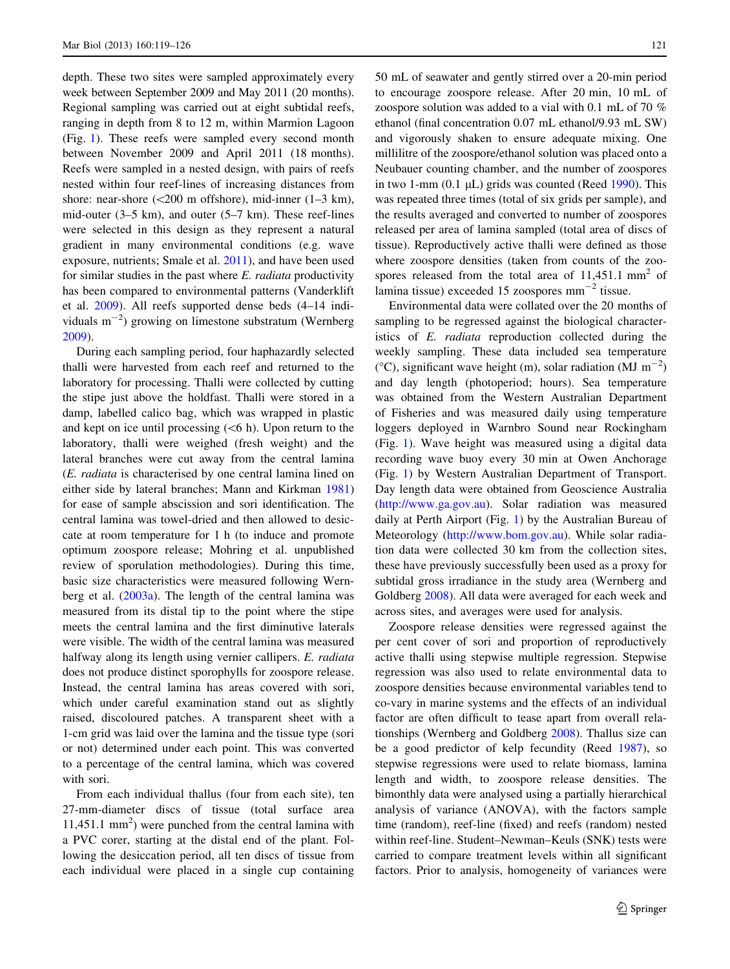depth. These two sites were sampled approximately every week between September 2009 and May 2011 (20 months). Regional sampling was carried out at eight subtidal reefs, ranging in depth from 8 to 12 m, within Marmion Lagoon (Fig. [1](#page-1-0)). These reefs were sampled every second month between November 2009 and April 2011 (18 months). Reefs were sampled in a nested design, with pairs of reefs nested within four reef-lines of increasing distances from shore: near-shore  $(<200 \text{ m}$  offshore), mid-inner  $(1-3 \text{ km})$ , mid-outer (3–5 km), and outer (5–7 km). These reef-lines were selected in this design as they represent a natural gradient in many environmental conditions (e.g. wave exposure, nutrients; Smale et al. [2011](#page-7-0)), and have been used for similar studies in the past where  $E$ . *radiata* productivity has been compared to environmental patterns (Vanderklift et al. [2009](#page-7-0)). All reefs supported dense beds (4–14 individuals  $m^{-2}$ ) growing on limestone substratum (Wernberg [2009\)](#page-7-0).

During each sampling period, four haphazardly selected thalli were harvested from each reef and returned to the laboratory for processing. Thalli were collected by cutting the stipe just above the holdfast. Thalli were stored in a damp, labelled calico bag, which was wrapped in plastic and kept on ice until processing  $(< 6 h)$ . Upon return to the laboratory, thalli were weighed (fresh weight) and the lateral branches were cut away from the central lamina (E. radiata is characterised by one central lamina lined on either side by lateral branches; Mann and Kirkman [1981\)](#page-7-0) for ease of sample abscission and sori identification. The central lamina was towel-dried and then allowed to desiccate at room temperature for 1 h (to induce and promote optimum zoospore release; Mohring et al. unpublished review of sporulation methodologies). During this time, basic size characteristics were measured following Wernberg et al.  $(2003a)$  $(2003a)$  $(2003a)$ . The length of the central lamina was measured from its distal tip to the point where the stipe meets the central lamina and the first diminutive laterals were visible. The width of the central lamina was measured halfway along its length using vernier callipers. E. radiata does not produce distinct sporophylls for zoospore release. Instead, the central lamina has areas covered with sori, which under careful examination stand out as slightly raised, discoloured patches. A transparent sheet with a 1-cm grid was laid over the lamina and the tissue type (sori or not) determined under each point. This was converted to a percentage of the central lamina, which was covered with sori.

From each individual thallus (four from each site), ten 27-mm-diameter discs of tissue (total surface area  $11,451.1$  mm<sup>2</sup>) were punched from the central lamina with a PVC corer, starting at the distal end of the plant. Following the desiccation period, all ten discs of tissue from each individual were placed in a single cup containing 50 mL of seawater and gently stirred over a 20-min period to encourage zoospore release. After 20 min, 10 mL of zoospore solution was added to a vial with 0.1 mL of 70 % ethanol (final concentration 0.07 mL ethanol/9.93 mL SW) and vigorously shaken to ensure adequate mixing. One millilitre of the zoospore/ethanol solution was placed onto a Neubauer counting chamber, and the number of zoospores in two 1-mm  $(0.1 \mu L)$  grids was counted (Reed [1990](#page-7-0)). This was repeated three times (total of six grids per sample), and the results averaged and converted to number of zoospores released per area of lamina sampled (total area of discs of tissue). Reproductively active thalli were defined as those where zoospore densities (taken from counts of the zoospores released from the total area of  $11,451.1$  mm<sup>2</sup> of lamina tissue) exceeded 15 zoospores  $mm^{-2}$  tissue.

Environmental data were collated over the 20 months of sampling to be regressed against the biological characteristics of E. radiata reproduction collected during the weekly sampling. These data included sea temperature ( $^{\circ}$ C), significant wave height (m), solar radiation (MJ m<sup>-2</sup>) and day length (photoperiod; hours). Sea temperature was obtained from the Western Australian Department of Fisheries and was measured daily using temperature loggers deployed in Warnbro Sound near Rockingham (Fig. [1\)](#page-1-0). Wave height was measured using a digital data recording wave buoy every 30 min at Owen Anchorage (Fig. [1\)](#page-1-0) by Western Australian Department of Transport. Day length data were obtained from Geoscience Australia [\(http://www.ga.gov.au](http://www.ga.gov.au)). Solar radiation was measured daily at Perth Airport (Fig. [1](#page-1-0)) by the Australian Bureau of Meteorology (<http://www.bom.gov.au>). While solar radiation data were collected 30 km from the collection sites, these have previously successfully been used as a proxy for subtidal gross irradiance in the study area (Wernberg and Goldberg [2008\)](#page-7-0). All data were averaged for each week and across sites, and averages were used for analysis.

Zoospore release densities were regressed against the per cent cover of sori and proportion of reproductively active thalli using stepwise multiple regression. Stepwise regression was also used to relate environmental data to zoospore densities because environmental variables tend to co-vary in marine systems and the effects of an individual factor are often difficult to tease apart from overall relationships (Wernberg and Goldberg [2008\)](#page-7-0). Thallus size can be a good predictor of kelp fecundity (Reed [1987](#page-7-0)), so stepwise regressions were used to relate biomass, lamina length and width, to zoospore release densities. The bimonthly data were analysed using a partially hierarchical analysis of variance (ANOVA), with the factors sample time (random), reef-line (fixed) and reefs (random) nested within reef-line. Student–Newman–Keuls (SNK) tests were carried to compare treatment levels within all significant factors. Prior to analysis, homogeneity of variances were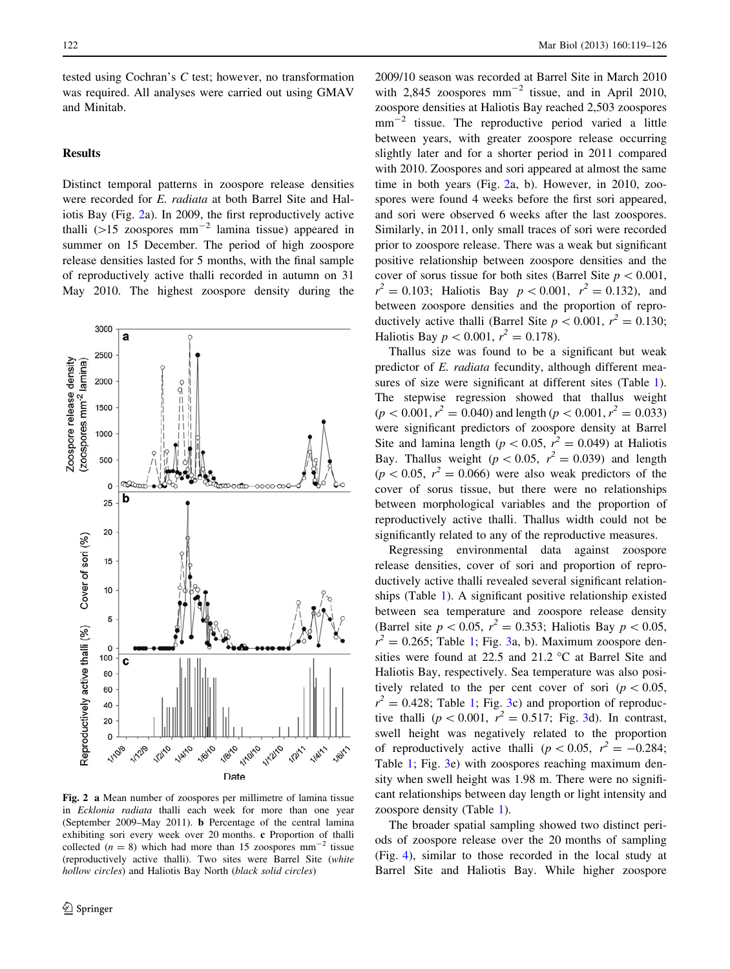tested using Cochran's C test; however, no transformation was required. All analyses were carried out using GMAV and Minitab.

## Results

Distinct temporal patterns in zoospore release densities were recorded for E. radiata at both Barrel Site and Haliotis Bay (Fig. 2a). In 2009, the first reproductively active thalli ( $>15$  zoospores mm<sup>-2</sup> lamina tissue) appeared in summer on 15 December. The period of high zoospore release densities lasted for 5 months, with the final sample of reproductively active thalli recorded in autumn on 31 May 2010. The highest zoospore density during the

Fig. 2 a Mean number of zoospores per millimetre of lamina tissue in Ecklonia radiata thalli each week for more than one year (September 2009–May 2011). b Percentage of the central lamina exhibiting sori every week over 20 months. c Proportion of thalli collected ( $n = 8$ ) which had more than 15 zoospores mm<sup>-2</sup> tissue (reproductively active thalli). Two sites were Barrel Site (white hollow circles) and Haliotis Bay North (black solid circles)

2009/10 season was recorded at Barrel Site in March 2010 with 2,845 zoospores  $mm^{-2}$  tissue, and in April 2010, zoospore densities at Haliotis Bay reached 2,503 zoospores  $mm^{-2}$  tissue. The reproductive period varied a little between years, with greater zoospore release occurring slightly later and for a shorter period in 2011 compared with 2010. Zoospores and sori appeared at almost the same time in both years (Fig. 2a, b). However, in 2010, zoospores were found 4 weeks before the first sori appeared, and sori were observed 6 weeks after the last zoospores. Similarly, in 2011, only small traces of sori were recorded prior to zoospore release. There was a weak but significant positive relationship between zoospore densities and the cover of sorus tissue for both sites (Barrel Site  $p < 0.001$ ,  $r^2 = 0.103$ ; Haliotis Bay  $p < 0.001$ ,  $r^2 = 0.132$ ), and between zoospore densities and the proportion of reproductively active thalli (Barrel Site  $p < 0.001$ ,  $r^2 = 0.130$ ; Haliotis Bay  $p < 0.001$ ,  $r^2 = 0.178$ ).

Thallus size was found to be a significant but weak predictor of E. radiata fecundity, although different measures of size were significant at different sites (Table [1](#page-4-0)). The stepwise regression showed that thallus weight  $(p < 0.001, r<sup>2</sup> = 0.040)$  and length  $(p < 0.001, r<sup>2</sup> = 0.033)$ were significant predictors of zoospore density at Barrel Site and lamina length ( $p < 0.05$ ,  $r^2 = 0.049$ ) at Haliotis Bay. Thallus weight ( $p < 0.05$ ,  $r^2 = 0.039$ ) and length  $(p < 0.05, r<sup>2</sup> = 0.066)$  were also weak predictors of the cover of sorus tissue, but there were no relationships between morphological variables and the proportion of reproductively active thalli. Thallus width could not be significantly related to any of the reproductive measures.

Regressing environmental data against zoospore release densities, cover of sori and proportion of reproductively active thalli revealed several significant relationships (Table [1\)](#page-4-0). A significant positive relationship existed between sea temperature and zoospore release density (Barrel site  $p < 0.05$ ,  $r^2 = 0.353$ ; Haliotis Bay  $p < 0.05$ ,  $r^2 = 0.265$ ; Table [1;](#page-4-0) Fig. [3a](#page-5-0), b). Maximum zoospore densities were found at 22.5 and 21.2  $\degree$ C at Barrel Site and Haliotis Bay, respectively. Sea temperature was also positively related to the per cent cover of sori ( $p\leq0.05$ ,  $r^2 = 0.428$ ; Table [1](#page-4-0); Fig. [3](#page-5-0)c) and proportion of reproductive thalli ( $p < 0.001$ ,  $r^2 = 0.517$ ; Fig. [3d](#page-5-0)). In contrast, swell height was negatively related to the proportion of reproductively active thalli ( $p < 0.05$ ,  $r^2 = -0.284$ ; Table [1](#page-4-0); Fig. [3e](#page-5-0)) with zoospores reaching maximum density when swell height was 1.98 m. There were no significant relationships between day length or light intensity and zoospore density (Table [1\)](#page-4-0).

The broader spatial sampling showed two distinct periods of zoospore release over the 20 months of sampling (Fig. [4\)](#page-5-0), similar to those recorded in the local study at Barrel Site and Haliotis Bay. While higher zoospore

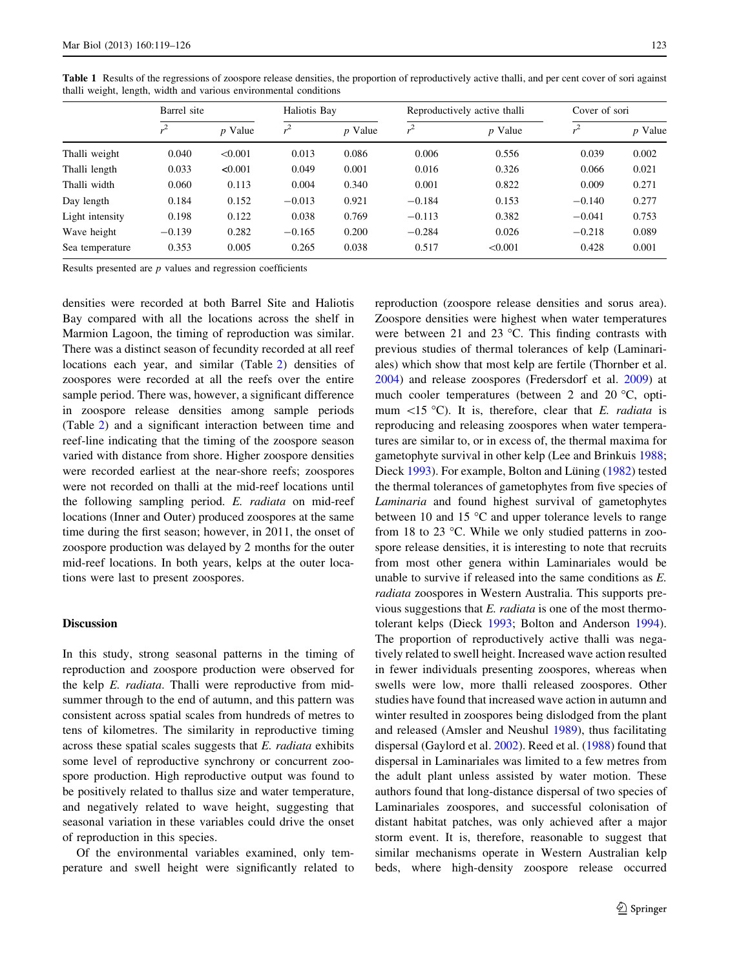|                 | Barrel site |           | Haliotis Bay   |           | Reproductively active thalli |           | Cover of sori |           |
|-----------------|-------------|-----------|----------------|-----------|------------------------------|-----------|---------------|-----------|
|                 | $r^2$       | $p$ Value | $\mathbf{r}^2$ | $p$ Value | $\mathbf{r}^2$               | $p$ Value |               | $p$ Value |
| Thalli weight   | 0.040       | < 0.001   | 0.013          | 0.086     | 0.006                        | 0.556     | 0.039         | 0.002     |
| Thalli length   | 0.033       | < 0.001   | 0.049          | 0.001     | 0.016                        | 0.326     | 0.066         | 0.021     |
| Thalli width    | 0.060       | 0.113     | 0.004          | 0.340     | 0.001                        | 0.822     | 0.009         | 0.271     |
| Day length      | 0.184       | 0.152     | $-0.013$       | 0.921     | $-0.184$                     | 0.153     | $-0.140$      | 0.277     |
| Light intensity | 0.198       | 0.122     | 0.038          | 0.769     | $-0.113$                     | 0.382     | $-0.041$      | 0.753     |
| Wave height     | $-0.139$    | 0.282     | $-0.165$       | 0.200     | $-0.284$                     | 0.026     | $-0.218$      | 0.089     |
| Sea temperature | 0.353       | 0.005     | 0.265          | 0.038     | 0.517                        | < 0.001   | 0.428         | 0.001     |

<span id="page-4-0"></span>Table 1 Results of the regressions of zoospore release densities, the proportion of reproductively active thalli, and per cent cover of sori against thalli weight, length, width and various environmental conditions

Results presented are  $p$  values and regression coefficients

densities were recorded at both Barrel Site and Haliotis Bay compared with all the locations across the shelf in Marmion Lagoon, the timing of reproduction was similar. There was a distinct season of fecundity recorded at all reef locations each year, and similar (Table [2\)](#page-5-0) densities of zoospores were recorded at all the reefs over the entire sample period. There was, however, a significant difference in zoospore release densities among sample periods (Table [2](#page-5-0)) and a significant interaction between time and reef-line indicating that the timing of the zoospore season varied with distance from shore. Higher zoospore densities were recorded earliest at the near-shore reefs; zoospores were not recorded on thalli at the mid-reef locations until the following sampling period. E. radiata on mid-reef locations (Inner and Outer) produced zoospores at the same time during the first season; however, in 2011, the onset of zoospore production was delayed by 2 months for the outer mid-reef locations. In both years, kelps at the outer locations were last to present zoospores.

## **Discussion**

In this study, strong seasonal patterns in the timing of reproduction and zoospore production were observed for the kelp E. radiata. Thalli were reproductive from midsummer through to the end of autumn, and this pattern was consistent across spatial scales from hundreds of metres to tens of kilometres. The similarity in reproductive timing across these spatial scales suggests that E. radiata exhibits some level of reproductive synchrony or concurrent zoospore production. High reproductive output was found to be positively related to thallus size and water temperature, and negatively related to wave height, suggesting that seasonal variation in these variables could drive the onset of reproduction in this species.

Of the environmental variables examined, only temperature and swell height were significantly related to

reproduction (zoospore release densities and sorus area). Zoospore densities were highest when water temperatures were between 21 and 23  $^{\circ}$ C. This finding contrasts with previous studies of thermal tolerances of kelp (Laminariales) which show that most kelp are fertile (Thornber et al. [2004](#page-7-0)) and release zoospores (Fredersdorf et al. [2009](#page-6-0)) at much cooler temperatures (between 2 and 20 $\degree$ C, optimum  $\langle 15 \text{ °C} \rangle$ . It is, therefore, clear that E. *radiata* is reproducing and releasing zoospores when water temperatures are similar to, or in excess of, the thermal maxima for gametophyte survival in other kelp (Lee and Brinkuis [1988](#page-7-0); Dieck [1993](#page-6-0)). For example, Bolton and Lüning [\(1982](#page-6-0)) tested the thermal tolerances of gametophytes from five species of Laminaria and found highest survival of gametophytes between 10 and 15  $\degree$ C and upper tolerance levels to range from 18 to 23  $\degree$ C. While we only studied patterns in zoospore release densities, it is interesting to note that recruits from most other genera within Laminariales would be unable to survive if released into the same conditions as E. radiata zoospores in Western Australia. This supports previous suggestions that E. radiata is one of the most thermotolerant kelps (Dieck [1993;](#page-6-0) Bolton and Anderson [1994](#page-6-0)). The proportion of reproductively active thalli was negatively related to swell height. Increased wave action resulted in fewer individuals presenting zoospores, whereas when swells were low, more thalli released zoospores. Other studies have found that increased wave action in autumn and winter resulted in zoospores being dislodged from the plant and released (Amsler and Neushul [1989](#page-6-0)), thus facilitating dispersal (Gaylord et al. [2002](#page-6-0)). Reed et al. [\(1988](#page-7-0)) found that dispersal in Laminariales was limited to a few metres from the adult plant unless assisted by water motion. These authors found that long-distance dispersal of two species of Laminariales zoospores, and successful colonisation of distant habitat patches, was only achieved after a major storm event. It is, therefore, reasonable to suggest that similar mechanisms operate in Western Australian kelp beds, where high-density zoospore release occurred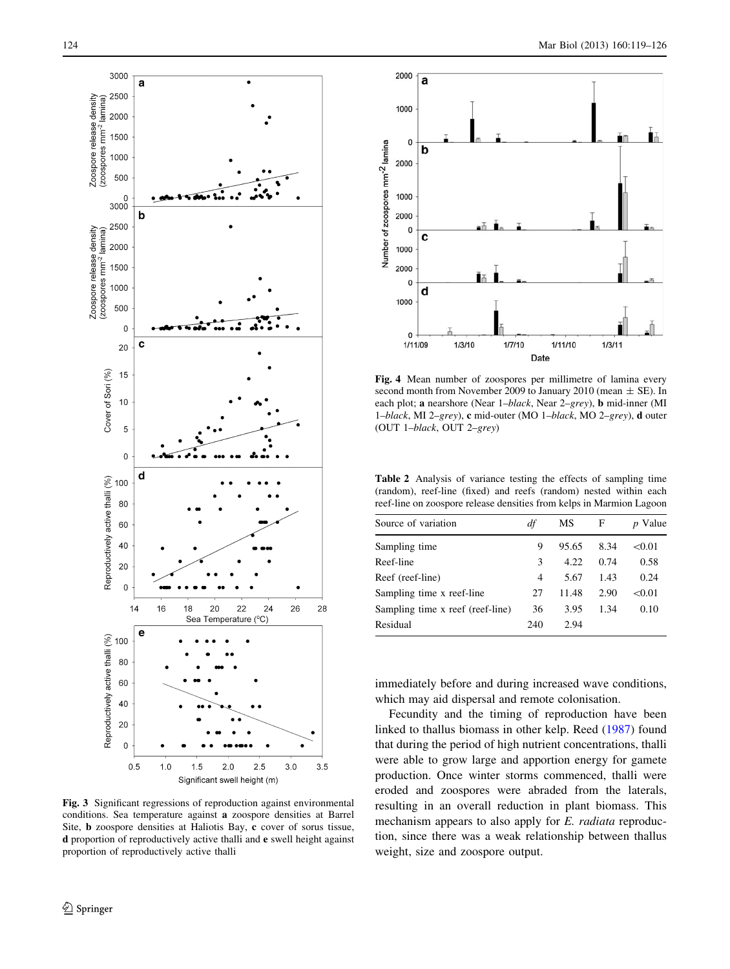<span id="page-5-0"></span>

Fig. 3 Significant regressions of reproduction against environmental conditions. Sea temperature against a zoospore densities at Barrel Site, b zoospore densities at Haliotis Bay, c cover of sorus tissue, d proportion of reproductively active thalli and e swell height against proportion of reproductively active thalli



Fig. 4 Mean number of zoospores per millimetre of lamina every second month from November 2009 to January 2010 (mean  $\pm$  SE). In each plot; a nearshore (Near 1–black, Near 2–grey), b mid-inner (MI 1–black, MI 2–grey), c mid-outer (MO 1–black, MO 2–grey), d outer (OUT 1–black, OUT 2–grey)

Table 2 Analysis of variance testing the effects of sampling time (random), reef-line (fixed) and reefs (random) nested within each reef-line on zoospore release densities from kelps in Marmion Lagoon

| Source of variation              | df  | МS    | F    | <i>p</i> Value |
|----------------------------------|-----|-------|------|----------------|
| Sampling time                    | 9   | 95.65 | 8.34 | < 0.01         |
| Reef-line                        | 3   | 4.22  | 0.74 | 0.58           |
| Reef (reef-line)                 | 4   | 5.67  | 1.43 | 0.24           |
| Sampling time x reef-line        | 27  | 11.48 | 2.90 | < 0.01         |
| Sampling time x reef (reef-line) | 36  | 3.95  | 1.34 | 0.10           |
| Residual                         | 240 | 2.94  |      |                |

immediately before and during increased wave conditions, which may aid dispersal and remote colonisation.

Fecundity and the timing of reproduction have been linked to thallus biomass in other kelp. Reed ([1987\)](#page-7-0) found that during the period of high nutrient concentrations, thalli were able to grow large and apportion energy for gamete production. Once winter storms commenced, thalli were eroded and zoospores were abraded from the laterals, resulting in an overall reduction in plant biomass. This mechanism appears to also apply for E. radiata reproduction, since there was a weak relationship between thallus weight, size and zoospore output.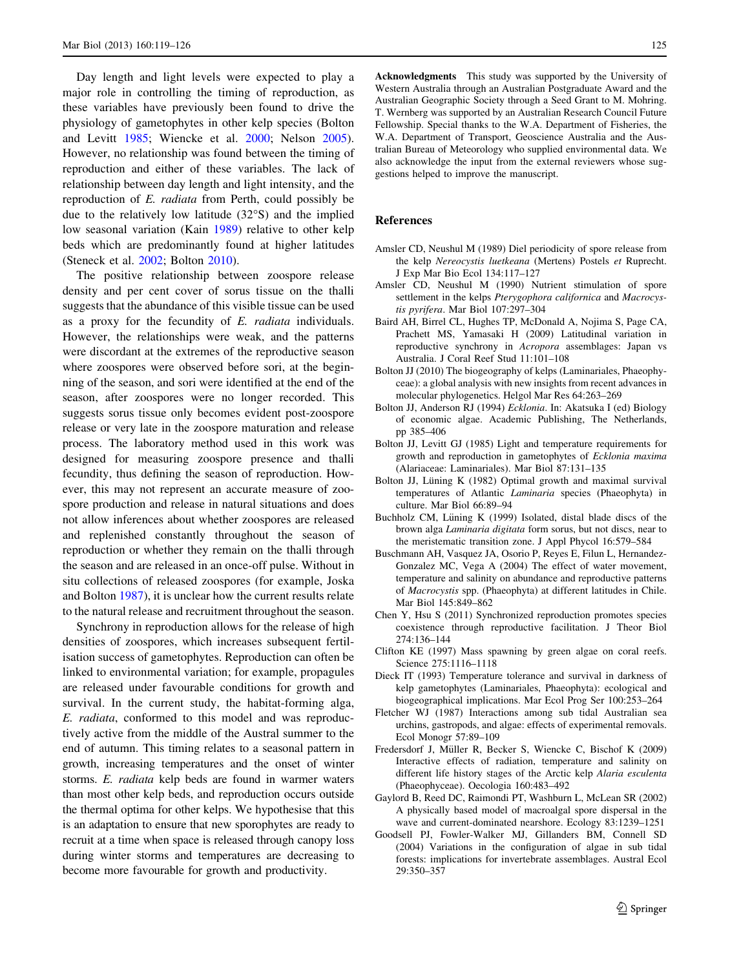<span id="page-6-0"></span>Day length and light levels were expected to play a major role in controlling the timing of reproduction, as these variables have previously been found to drive the physiology of gametophytes in other kelp species (Bolton and Levitt 1985; Wiencke et al. [2000](#page-7-0); Nelson [2005](#page-7-0)). However, no relationship was found between the timing of reproduction and either of these variables. The lack of relationship between day length and light intensity, and the reproduction of E. radiata from Perth, could possibly be due to the relatively low latitude  $(32°S)$  and the implied low seasonal variation (Kain [1989](#page-7-0)) relative to other kelp beds which are predominantly found at higher latitudes (Steneck et al. [2002](#page-7-0); Bolton 2010).

The positive relationship between zoospore release density and per cent cover of sorus tissue on the thalli suggests that the abundance of this visible tissue can be used as a proxy for the fecundity of E. radiata individuals. However, the relationships were weak, and the patterns were discordant at the extremes of the reproductive season where zoospores were observed before sori, at the beginning of the season, and sori were identified at the end of the season, after zoospores were no longer recorded. This suggests sorus tissue only becomes evident post-zoospore release or very late in the zoospore maturation and release process. The laboratory method used in this work was designed for measuring zoospore presence and thalli fecundity, thus defining the season of reproduction. However, this may not represent an accurate measure of zoospore production and release in natural situations and does not allow inferences about whether zoospores are released and replenished constantly throughout the season of reproduction or whether they remain on the thalli through the season and are released in an once-off pulse. Without in situ collections of released zoospores (for example, Joska and Bolton [1987](#page-7-0)), it is unclear how the current results relate to the natural release and recruitment throughout the season.

Synchrony in reproduction allows for the release of high densities of zoospores, which increases subsequent fertilisation success of gametophytes. Reproduction can often be linked to environmental variation; for example, propagules are released under favourable conditions for growth and survival. In the current study, the habitat-forming alga, E. radiata, conformed to this model and was reproductively active from the middle of the Austral summer to the end of autumn. This timing relates to a seasonal pattern in growth, increasing temperatures and the onset of winter storms. E. radiata kelp beds are found in warmer waters than most other kelp beds, and reproduction occurs outside the thermal optima for other kelps. We hypothesise that this is an adaptation to ensure that new sporophytes are ready to recruit at a time when space is released through canopy loss during winter storms and temperatures are decreasing to become more favourable for growth and productivity.

Acknowledgments This study was supported by the University of Western Australia through an Australian Postgraduate Award and the Australian Geographic Society through a Seed Grant to M. Mohring. T. Wernberg was supported by an Australian Research Council Future Fellowship. Special thanks to the W.A. Department of Fisheries, the W.A. Department of Transport, Geoscience Australia and the Australian Bureau of Meteorology who supplied environmental data. We also acknowledge the input from the external reviewers whose suggestions helped to improve the manuscript.

## References

- Amsler CD, Neushul M (1989) Diel periodicity of spore release from the kelp Nereocystis luetkeana (Mertens) Postels et Ruprecht. J Exp Mar Bio Ecol 134:117–127
- Amsler CD, Neushul M (1990) Nutrient stimulation of spore settlement in the kelps Pterygophora californica and Macrocystis pyrifera. Mar Biol 107:297–304
- Baird AH, Birrel CL, Hughes TP, McDonald A, Nojima S, Page CA, Prachett MS, Yamasaki H (2009) Latitudinal variation in reproductive synchrony in Acropora assemblages: Japan vs Australia. J Coral Reef Stud 11:101–108
- Bolton JJ (2010) The biogeography of kelps (Laminariales, Phaeophyceae): a global analysis with new insights from recent advances in molecular phylogenetics. Helgol Mar Res 64:263–269
- Bolton JJ, Anderson RJ (1994) Ecklonia. In: Akatsuka I (ed) Biology of economic algae. Academic Publishing, The Netherlands, pp 385–406
- Bolton JJ, Levitt GJ (1985) Light and temperature requirements for growth and reproduction in gametophytes of Ecklonia maxima (Alariaceae: Laminariales). Mar Biol 87:131–135
- Bolton JJ, Lüning K (1982) Optimal growth and maximal survival temperatures of Atlantic Laminaria species (Phaeophyta) in culture. Mar Biol 66:89–94
- Buchholz CM, Lüning K (1999) Isolated, distal blade discs of the brown alga Laminaria digitata form sorus, but not discs, near to the meristematic transition zone. J Appl Phycol 16:579–584
- Buschmann AH, Vasquez JA, Osorio P, Reyes E, Filun L, Hernandez-Gonzalez MC, Vega A (2004) The effect of water movement, temperature and salinity on abundance and reproductive patterns of Macrocystis spp. (Phaeophyta) at different latitudes in Chile. Mar Biol 145:849–862
- Chen Y, Hsu S (2011) Synchronized reproduction promotes species coexistence through reproductive facilitation. J Theor Biol 274:136–144
- Clifton KE (1997) Mass spawning by green algae on coral reefs. Science 275:1116–1118
- Dieck IT (1993) Temperature tolerance and survival in darkness of kelp gametophytes (Laminariales, Phaeophyta): ecological and biogeographical implications. Mar Ecol Prog Ser 100:253–264
- Fletcher WJ (1987) Interactions among sub tidal Australian sea urchins, gastropods, and algae: effects of experimental removals. Ecol Monogr 57:89–109
- Fredersdorf J, Müller R, Becker S, Wiencke C, Bischof K (2009) Interactive effects of radiation, temperature and salinity on different life history stages of the Arctic kelp Alaria esculenta (Phaeophyceae). Oecologia 160:483–492
- Gaylord B, Reed DC, Raimondi PT, Washburn L, McLean SR (2002) A physically based model of macroalgal spore dispersal in the wave and current-dominated nearshore. Ecology 83:1239–1251
- Goodsell PJ, Fowler-Walker MJ, Gillanders BM, Connell SD (2004) Variations in the configuration of algae in sub tidal forests: implications for invertebrate assemblages. Austral Ecol 29:350–357